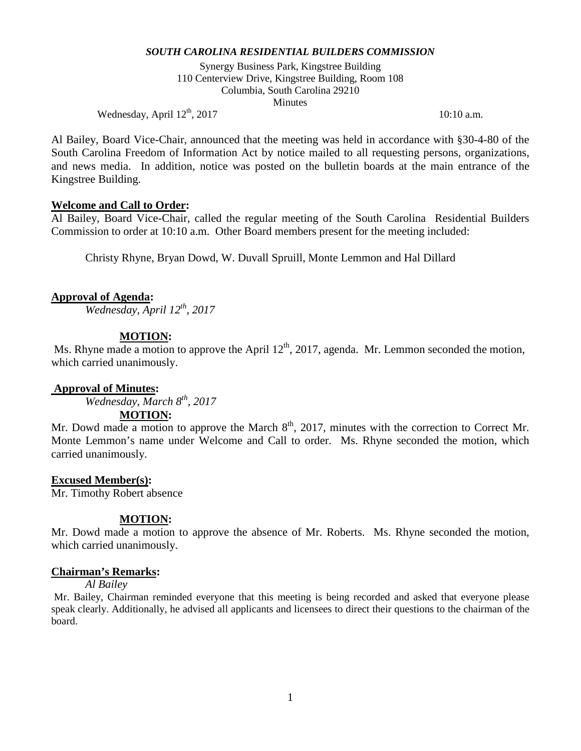Synergy Business Park, Kingstree Building 110 Centerview Drive, Kingstree Building, Room 108 Columbia, South Carolina 29210 **Minutes** 

Wednesday, April  $12^{th}$ , 2017 10:10 a.m.

Al Bailey, Board Vice-Chair, announced that the meeting was held in accordance with §30-4-80 of the South Carolina Freedom of Information Act by notice mailed to all requesting persons, organizations, and news media. In addition, notice was posted on the bulletin boards at the main entrance of the Kingstree Building.

#### **Welcome and Call to Order:**

Al Bailey, Board Vice-Chair, called the regular meeting of the South Carolina Residential Builders Commission to order at 10:10 a.m. Other Board members present for the meeting included:

Christy Rhyne, Bryan Dowd, W. Duvall Spruill, Monte Lemmon and Hal Dillard

#### **Approval of Agenda:**

*Wednesday, April 12th, 2017*

#### **MOTION:**

Ms. Rhyne made a motion to approve the April  $12<sup>th</sup>$ , 2017, agenda. Mr. Lemmon seconded the motion, which carried unanimously.

#### **Approval of Minutes:**

*Wednesday, March 8th, 2017*

#### **MOTION:**

Mr. Dowd made a motion to approve the March 8<sup>th</sup>, 2017, minutes with the correction to Correct Mr. Monte Lemmon's name under Welcome and Call to order. Ms. Rhyne seconded the motion, which carried unanimously.

### **Excused Member(s):**

Mr. Timothy Robert absence

### **MOTION:**

Mr. Dowd made a motion to approve the absence of Mr. Roberts. Ms. Rhyne seconded the motion, which carried unanimously.

#### **Chairman's Remarks:**

# *Al Bailey*

Mr. Bailey, Chairman reminded everyone that this meeting is being recorded and asked that everyone please speak clearly. Additionally, he advised all applicants and licensees to direct their questions to the chairman of the board.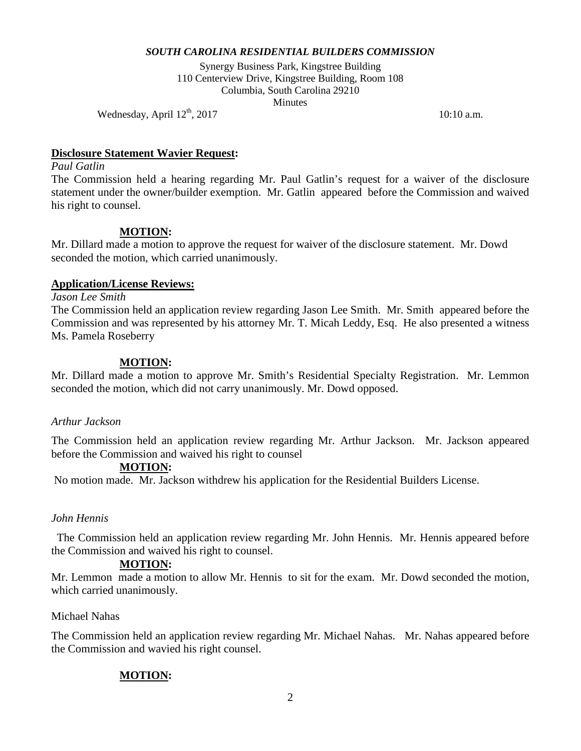Synergy Business Park, Kingstree Building 110 Centerview Drive, Kingstree Building, Room 108 Columbia, South Carolina 29210 **Minutes** 

Wednesday, April  $12^{\text{th}}$ , 2017 10:10 a.m.

# **Disclosure Statement Wavier Request:**

*Paul Gatlin* 

The Commission held a hearing regarding Mr. Paul Gatlin's request for a waiver of the disclosure statement under the owner/builder exemption. Mr. Gatlin appeared before the Commission and waived his right to counsel.

# **MOTION:**

Mr. Dillard made a motion to approve the request for waiver of the disclosure statement. Mr. Dowd seconded the motion, which carried unanimously.

# **Application/License Reviews:**

*Jason Lee Smith* 

The Commission held an application review regarding Jason Lee Smith. Mr. Smith appeared before the Commission and was represented by his attorney Mr. T. Micah Leddy, Esq. He also presented a witness Ms. Pamela Roseberry

# **MOTION:**

Mr. Dillard made a motion to approve Mr. Smith's Residential Specialty Registration. Mr. Lemmon seconded the motion, which did not carry unanimously. Mr. Dowd opposed.

### *Arthur Jackson*

The Commission held an application review regarding Mr. Arthur Jackson. Mr. Jackson appeared before the Commission and waived his right to counsel

### **MOTION:**

No motion made. Mr. Jackson withdrew his application for the Residential Builders License.

### *John Hennis*

The Commission held an application review regarding Mr. John Hennis. Mr. Hennis appeared before the Commission and waived his right to counsel.

# **MOTION:**

Mr. Lemmon made a motion to allow Mr. Hennis to sit for the exam. Mr. Dowd seconded the motion, which carried unanimously.

### Michael Nahas

The Commission held an application review regarding Mr. Michael Nahas. Mr. Nahas appeared before the Commission and wavied his right counsel.

# **MOTION:**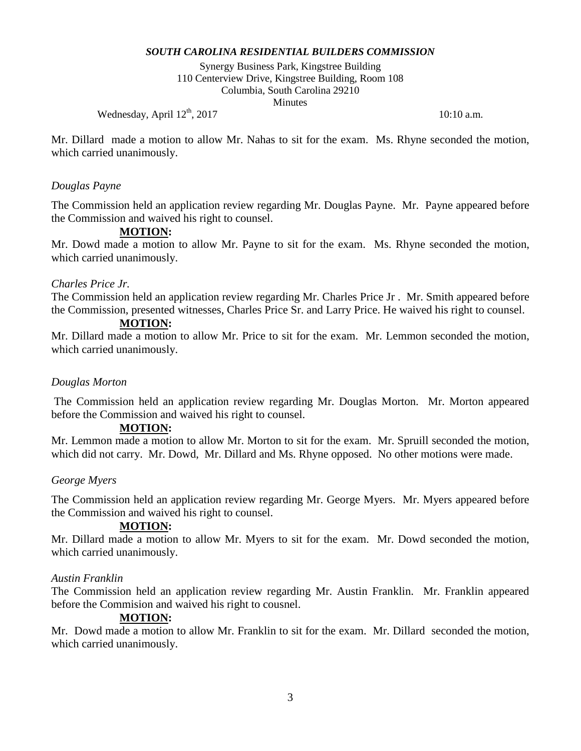Synergy Business Park, Kingstree Building 110 Centerview Drive, Kingstree Building, Room 108 Columbia, South Carolina 29210 **Minutes** 

Wednesday, April  $12^{th}$ , 2017 10:10 a.m.

Mr. Dillard made a motion to allow Mr. Nahas to sit for the exam. Ms. Rhyne seconded the motion, which carried unanimously.

# *Douglas Payne*

The Commission held an application review regarding Mr. Douglas Payne. Mr. Payne appeared before the Commission and waived his right to counsel.

# **MOTION:**

Mr. Dowd made a motion to allow Mr. Payne to sit for the exam. Ms. Rhyne seconded the motion, which carried unanimously.

### *Charles Price Jr.*

The Commission held an application review regarding Mr. Charles Price Jr . Mr. Smith appeared before the Commission, presented witnesses, Charles Price Sr. and Larry Price. He waived his right to counsel.

## **MOTION:**

Mr. Dillard made a motion to allow Mr. Price to sit for the exam. Mr. Lemmon seconded the motion, which carried unanimously.

### *Douglas Morton*

The Commission held an application review regarding Mr. Douglas Morton. Mr. Morton appeared before the Commission and waived his right to counsel.

### **MOTION:**

Mr. Lemmon made a motion to allow Mr. Morton to sit for the exam. Mr. Spruill seconded the motion, which did not carry. Mr. Dowd, Mr. Dillard and Ms. Rhyne opposed. No other motions were made.

### *George Myers*

The Commission held an application review regarding Mr. George Myers. Mr. Myers appeared before the Commission and waived his right to counsel.

### **MOTION:**

Mr. Dillard made a motion to allow Mr. Myers to sit for the exam. Mr. Dowd seconded the motion, which carried unanimously.

### *Austin Franklin*

The Commission held an application review regarding Mr. Austin Franklin. Mr. Franklin appeared before the Commision and waived his right to cousnel.

### **MOTION:**

Mr. Dowd made a motion to allow Mr. Franklin to sit for the exam. Mr. Dillard seconded the motion, which carried unanimously.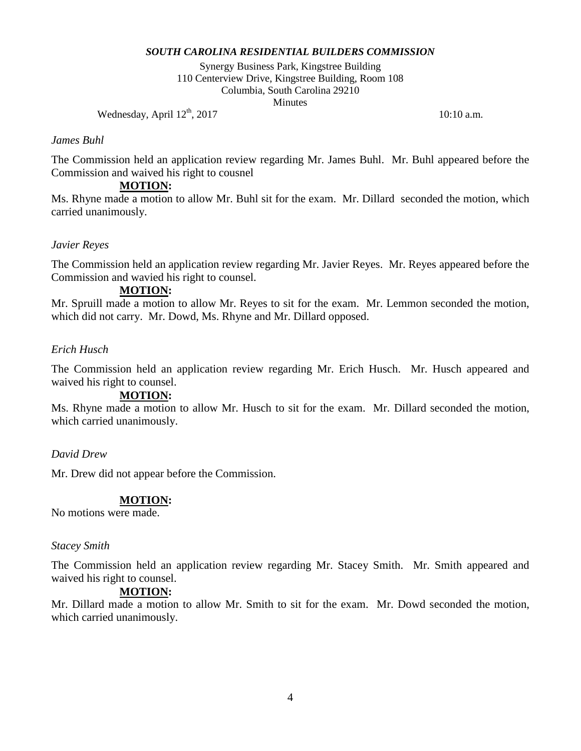Synergy Business Park, Kingstree Building 110 Centerview Drive, Kingstree Building, Room 108 Columbia, South Carolina 29210 **Minutes** 

Wednesday, April  $12^{th}$ , 2017 10:10 a.m.

#### *James Buhl*

The Commission held an application review regarding Mr. James Buhl. Mr. Buhl appeared before the Commission and waived his right to cousnel

# **MOTION:**

Ms. Rhyne made a motion to allow Mr. Buhl sit for the exam. Mr. Dillard seconded the motion, which carried unanimously.

# *Javier Reyes*

The Commission held an application review regarding Mr. Javier Reyes. Mr. Reyes appeared before the Commission and wavied his right to counsel.

#### **MOTION:**

Mr. Spruill made a motion to allow Mr. Reyes to sit for the exam. Mr. Lemmon seconded the motion, which did not carry. Mr. Dowd, Ms. Rhyne and Mr. Dillard opposed.

### *Erich Husch*

The Commission held an application review regarding Mr. Erich Husch. Mr. Husch appeared and waived his right to counsel.

### **MOTION:**

Ms. Rhyne made a motion to allow Mr. Husch to sit for the exam. Mr. Dillard seconded the motion, which carried unanimously.

## *David Drew*

Mr. Drew did not appear before the Commission.

### **MOTION:**

No motions were made.

#### *Stacey Smith*

The Commission held an application review regarding Mr. Stacey Smith. Mr. Smith appeared and waived his right to counsel.

### **MOTION:**

Mr. Dillard made a motion to allow Mr. Smith to sit for the exam. Mr. Dowd seconded the motion, which carried unanimously.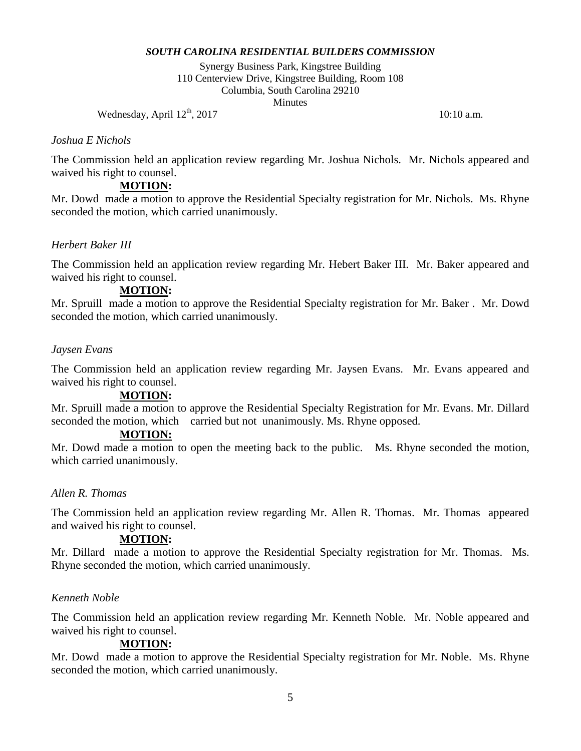Synergy Business Park, Kingstree Building 110 Centerview Drive, Kingstree Building, Room 108 Columbia, South Carolina 29210 **Minutes** 

Wednesday, April  $12^{th}$ , 2017 10:10 a.m.

### *Joshua E Nichols*

The Commission held an application review regarding Mr. Joshua Nichols. Mr. Nichols appeared and waived his right to counsel.

## **MOTION:**

Mr. Dowd made a motion to approve the Residential Specialty registration for Mr. Nichols. Ms. Rhyne seconded the motion, which carried unanimously.

# *Herbert Baker III*

The Commission held an application review regarding Mr. Hebert Baker III. Mr. Baker appeared and waived his right to counsel.

### **MOTION:**

Mr. Spruill made a motion to approve the Residential Specialty registration for Mr. Baker . Mr. Dowd seconded the motion, which carried unanimously.

### *Jaysen Evans*

The Commission held an application review regarding Mr. Jaysen Evans. Mr. Evans appeared and waived his right to counsel.

### **MOTION:**

Mr. Spruill made a motion to approve the Residential Specialty Registration for Mr. Evans. Mr. Dillard seconded the motion, which carried but not unanimously. Ms. Rhyne opposed.

## **MOTION:**

Mr. Dowd made a motion to open the meeting back to the public. Ms. Rhyne seconded the motion, which carried unanimously.

### *Allen R. Thomas*

The Commission held an application review regarding Mr. Allen R. Thomas. Mr. Thomas appeared and waived his right to counsel.

### **MOTION:**

Mr. Dillard made a motion to approve the Residential Specialty registration for Mr. Thomas. Ms. Rhyne seconded the motion, which carried unanimously.

#### *Kenneth Noble*

The Commission held an application review regarding Mr. Kenneth Noble. Mr. Noble appeared and waived his right to counsel.

### **MOTION:**

Mr. Dowd made a motion to approve the Residential Specialty registration for Mr. Noble. Ms. Rhyne seconded the motion, which carried unanimously.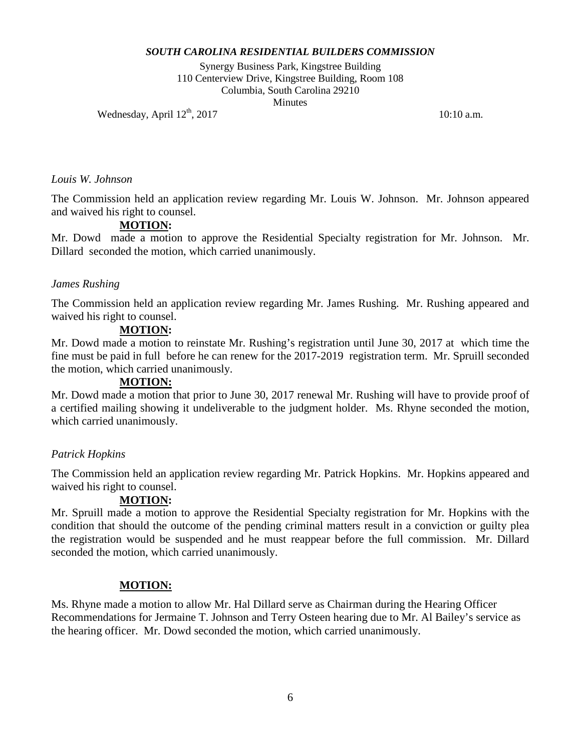Synergy Business Park, Kingstree Building 110 Centerview Drive, Kingstree Building, Room 108 Columbia, South Carolina 29210 **Minutes** 

Wednesday, April  $12^{th}$ ,  $2017$  10:10 a.m.

#### *Louis W. Johnson*

The Commission held an application review regarding Mr. Louis W. Johnson. Mr. Johnson appeared and waived his right to counsel.

# **MOTION:**

Mr. Dowd made a motion to approve the Residential Specialty registration for Mr. Johnson. Mr. Dillard seconded the motion, which carried unanimously.

### *James Rushing*

The Commission held an application review regarding Mr. James Rushing. Mr. Rushing appeared and waived his right to counsel.

### **MOTION:**

Mr. Dowd made a motion to reinstate Mr. Rushing's registration until June 30, 2017 at which time the fine must be paid in full before he can renew for the 2017-2019 registration term. Mr. Spruill seconded the motion, which carried unanimously.

### **MOTION:**

Mr. Dowd made a motion that prior to June 30, 2017 renewal Mr. Rushing will have to provide proof of a certified mailing showing it undeliverable to the judgment holder. Ms. Rhyne seconded the motion, which carried unanimously.

# *Patrick Hopkins*

The Commission held an application review regarding Mr. Patrick Hopkins. Mr. Hopkins appeared and waived his right to counsel.

# **MOTION:**

Mr. Spruill made a motion to approve the Residential Specialty registration for Mr. Hopkins with the condition that should the outcome of the pending criminal matters result in a conviction or guilty plea the registration would be suspended and he must reappear before the full commission. Mr. Dillard seconded the motion, which carried unanimously.

# **MOTION:**

Ms. Rhyne made a motion to allow Mr. Hal Dillard serve as Chairman during the Hearing Officer Recommendations for Jermaine T. Johnson and Terry Osteen hearing due to Mr. Al Bailey's service as the hearing officer. Mr. Dowd seconded the motion, which carried unanimously.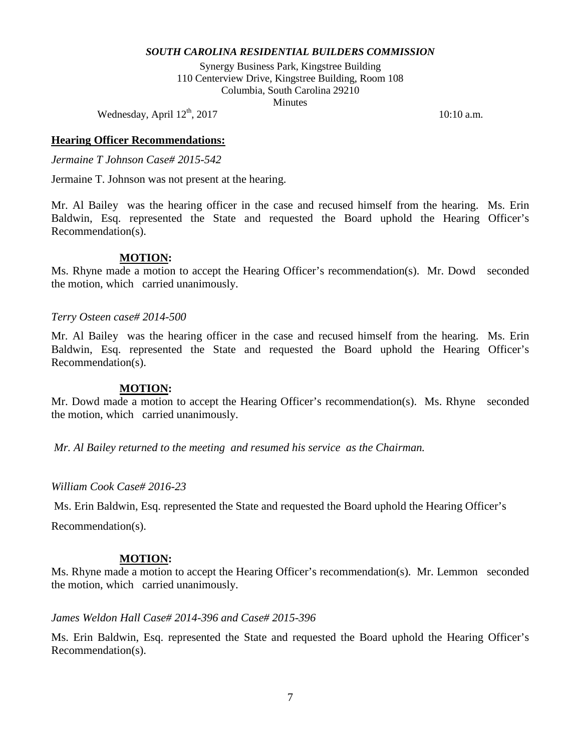Synergy Business Park, Kingstree Building 110 Centerview Drive, Kingstree Building, Room 108 Columbia, South Carolina 29210 **Minutes** 

Wednesday, April  $12^{th}$ , 2017 10:10 a.m.

#### **Hearing Officer Recommendations:**

*Jermaine T Johnson Case# 2015-542*

Jermaine T. Johnson was not present at the hearing.

Mr. Al Bailey was the hearing officer in the case and recused himself from the hearing. Ms. Erin Baldwin, Esq. represented the State and requested the Board uphold the Hearing Officer's Recommendation(s).

#### **MOTION:**

Ms. Rhyne made a motion to accept the Hearing Officer's recommendation(s). Mr. Dowd seconded the motion, which carried unanimously.

#### *Terry Osteen case# 2014-500*

Mr. Al Bailey was the hearing officer in the case and recused himself from the hearing. Ms. Erin Baldwin, Esq. represented the State and requested the Board uphold the Hearing Officer's Recommendation(s).

#### **MOTION:**

Mr. Dowd made a motion to accept the Hearing Officer's recommendation(s). Ms. Rhyne seconded the motion, which carried unanimously.

*Mr. Al Bailey returned to the meeting and resumed his service as the Chairman.* 

#### *William Cook Case# 2016-23*

Ms. Erin Baldwin, Esq. represented the State and requested the Board uphold the Hearing Officer's

Recommendation(s).

#### **MOTION:**

Ms. Rhyne made a motion to accept the Hearing Officer's recommendation(s). Mr. Lemmon seconded the motion, which carried unanimously.

#### *James Weldon Hall Case# 2014-396 and Case# 2015-396*

Ms. Erin Baldwin, Esq. represented the State and requested the Board uphold the Hearing Officer's Recommendation(s).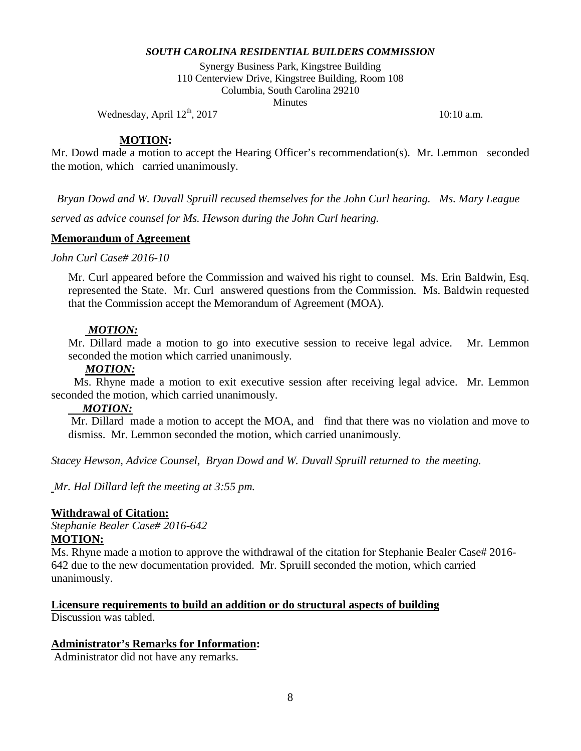Synergy Business Park, Kingstree Building 110 Centerview Drive, Kingstree Building, Room 108 Columbia, South Carolina 29210 **Minutes** 

Wednesday, April  $12^{th}$ ,  $2017$  10:10 a.m.

#### **MOTION:**

Mr. Dowd made a motion to accept the Hearing Officer's recommendation(s). Mr. Lemmon seconded the motion, which carried unanimously.

*Bryan Dowd and W. Duvall Spruill recused themselves for the John Curl hearing. Ms. Mary League served as advice counsel for Ms. Hewson during the John Curl hearing.* 

#### **Memorandum of Agreement**

*John Curl Case# 2016-10*

Mr. Curl appeared before the Commission and waived his right to counsel. Ms. Erin Baldwin, Esq. represented the State. Mr. Curl answered questions from the Commission. Ms. Baldwin requested that the Commission accept the Memorandum of Agreement (MOA).

#### *MOTION:*

Mr. Dillard made a motion to go into executive session to receive legal advice. Mr. Lemmon seconded the motion which carried unanimously*.* 

#### *MOTION:*

 Ms. Rhyne made a motion to exit executive session after receiving legal advice. Mr. Lemmon seconded the motion, which carried unanimously.

#### *MOTION:*

Mr. Dillard made a motion to accept the MOA, and find that there was no violation and move to dismiss. Mr. Lemmon seconded the motion, which carried unanimously.

*Stacey Hewson, Advice Counsel, Bryan Dowd and W. Duvall Spruill returned to the meeting.* 

*Mr. Hal Dillard left the meeting at 3:55 pm.*

#### **Withdrawal of Citation:**

*Stephanie Bealer Case# 2016-642* **MOTION:**

Ms. Rhyne made a motion to approve the withdrawal of the citation for Stephanie Bealer Case# 2016- 642 due to the new documentation provided. Mr. Spruill seconded the motion, which carried unanimously.

#### **Licensure requirements to build an addition or do structural aspects of building**

Discussion was tabled.

#### **Administrator's Remarks for Information:**

Administrator did not have any remarks.